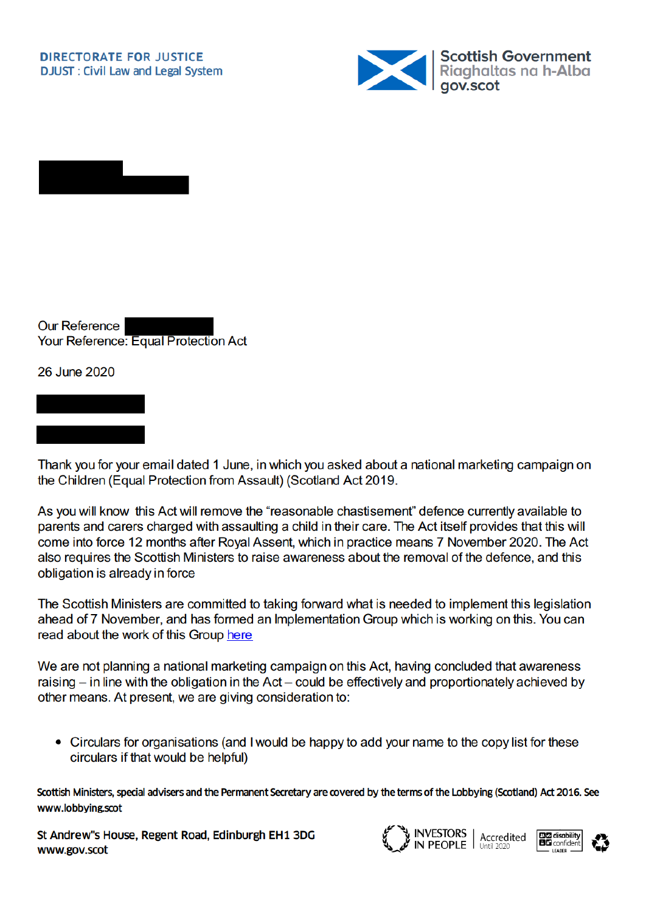



**Our Reference** Your Reference: Equal Protection Act

26 June 2020

Thank you for your email dated 1 June, in which you asked about a national marketing campaign on the Children (Equal Protection from Assault) (Scotland Act 2019.

As you will know this Act will remove the "reasonable chastisement" defence currently available to parents and carers charged with assaulting a child in their care. The Act itself provides that this will come into force 12 months after Royal Assent, which in practice means 7 November 2020. The Act also requires the Scottish Ministers to raise awareness about the removal of the defence, and this obligation is already in force

The Scottish Ministers are committed to taking forward what is needed to implement this legislation ahead of 7 November, and has formed an Implementation Group which is working on this. You can read about the work of this Group here

We are not planning a national marketing campaign on this Act, having concluded that awareness raising  $-$  in line with the obligation in the Act  $-$  could be effectively and proportionately achieved by other means. At present, we are giving consideration to:

• Circulars for organisations (and I would be happy to add your name to the copy list for these circulars if that would be helpful)

Scottish Ministers, special advisers and the Permanent Secretary are covered by the terms of the Lobbying (Scotland) Act 2016. See www.lobbying.scot

St Andrew"s House, Regent Road, Edinburgh EH1 3DG www.gov.scot